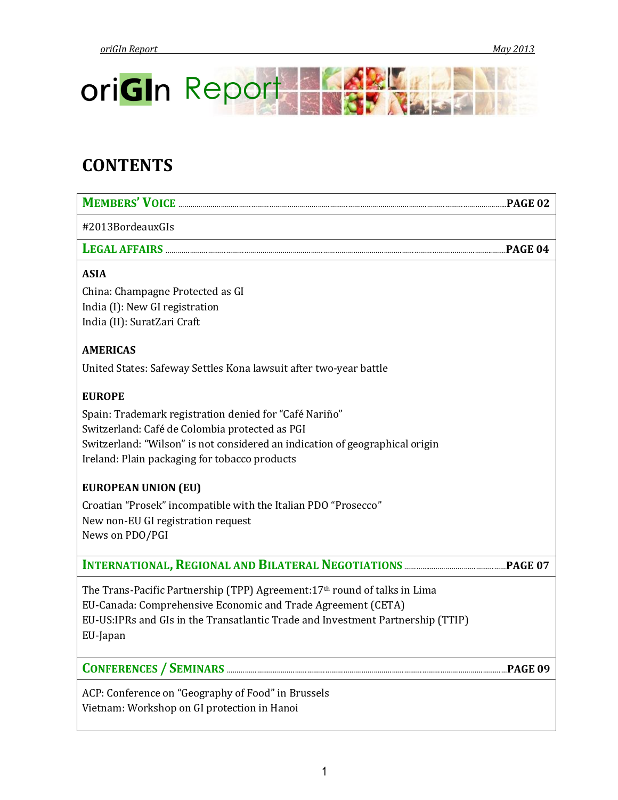

# **CONTENTS**

| MEMBERS' VOICE ENTERTAINMENT PAGE 02                                            |  |
|---------------------------------------------------------------------------------|--|
| #2013BordeauxGIs                                                                |  |
| LEGAL AFFAIRS<br><b>PAGE 04</b>                                                 |  |
| <b>ASIA</b>                                                                     |  |
| China: Champagne Protected as GI                                                |  |
| India (I): New GI registration                                                  |  |
| India (II): SuratZari Craft                                                     |  |
| <b>AMERICAS</b>                                                                 |  |
| United States: Safeway Settles Kona lawsuit after two-year battle               |  |
| <b>EUROPE</b>                                                                   |  |
| Spain: Trademark registration denied for "Café Nariño"                          |  |
| Switzerland: Café de Colombia protected as PGI                                  |  |
| Switzerland: "Wilson" is not considered an indication of geographical origin    |  |
| Ireland: Plain packaging for tobacco products                                   |  |
| <b>EUROPEAN UNION (EU)</b>                                                      |  |
| Croatian "Prosek" incompatible with the Italian PDO "Prosecco"                  |  |
| New non-EU GI registration request                                              |  |
| News on PDO/PGI                                                                 |  |
|                                                                                 |  |
| The Trans-Pacific Partnership (TPP) Agreement: 17th round of talks in Lima      |  |
| EU-Canada: Comprehensive Economic and Trade Agreement (CETA)                    |  |
| EU-US:IPRs and GIs in the Transatlantic Trade and Investment Partnership (TTIP) |  |
| EU-Japan                                                                        |  |
|                                                                                 |  |

**CONFERENCES / SEMINARS** …………………….……………………………………………………………………………………………………**PAGE 09**

ACP: Conference on "Geography of Food" in Brussels Vietnam: Workshop on GI protection in Hanoi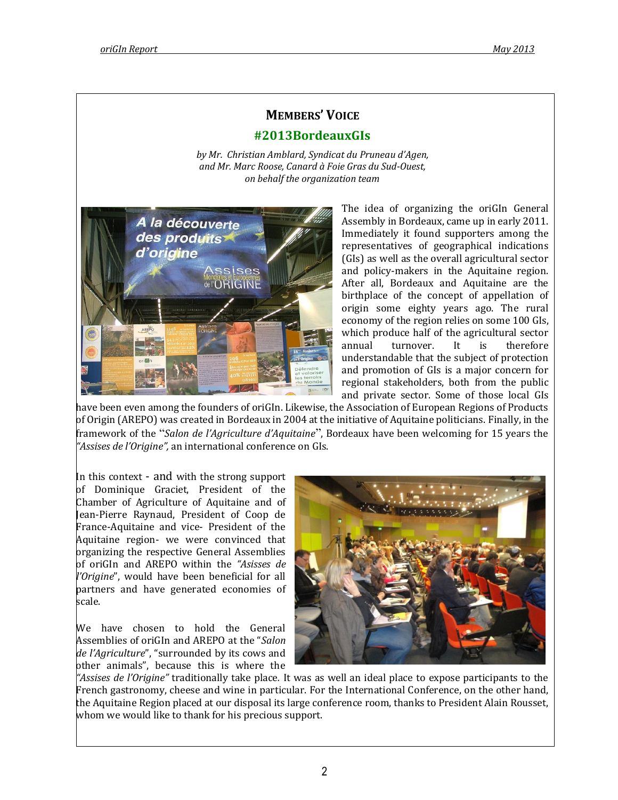# **MEMBERS' VOICE**

# **#2013BordeauxGIs**

*by Mr. Christian Amblard, Syndicat du Pruneau d'Agen, and Mr. Marc Roose, Canard à Foie Gras du Sud-Ouest, on behalf the organization team*



The idea of organizing the oriGIn General Assembly in Bordeaux, came up in early 2011. Immediately it found supporters among the representatives of geographical indications (GIs) as well as the overall agricultural sector and policy-makers in the Aquitaine region. After all, Bordeaux and Aquitaine are the birthplace of the concept of appellation of origin some eighty years ago. The rural economy of the region relies on some 100 GIs, which produce half of the agricultural sector annual turnover. It is therefore understandable that the subject of protection and promotion of GIs is a major concern for regional stakeholders, both from the public and private sector. Some of those local GIs

have been even among the founders of oriGIn. Likewise, the Association of European Regions of Products of Origin (AREPO) was created in Bordeaux in 2004 at the initiative of Aquitaine politicians. Finally, in the framework of the "*Salon de l'Agriculture d'Aquitaine*", Bordeaux have been welcoming for 15 years the *"Assises de l'Origine",* an international conference on GIs.

In this context - and with the strong support of Dominique Graciet, President of the Chamber of Agriculture of Aquitaine and of Jean-Pierre Raynaud, President of Coop de France-Aquitaine and vice- President of the Aquitaine region- we were convinced that organizing the respective General Assemblies of oriGIn and AREPO within the *"Asisses de l'Origine*", would have been beneficial for all partners and have generated economies of scale.

We have chosen to hold the General Assemblies of oriGIn and AREPO at the "*Salon de l'Agriculture*", "surrounded by its cows and other animals", because this is where the



*"Assises de l'Origine"* traditionally take place*.* It was as well an ideal place to expose participants to the French gastronomy, cheese and wine in particular. For the International Conference, on the other hand, the Aquitaine Region placed at our disposal its large conference room, thanks to President Alain Rousset, whom we would like to thank for his precious support.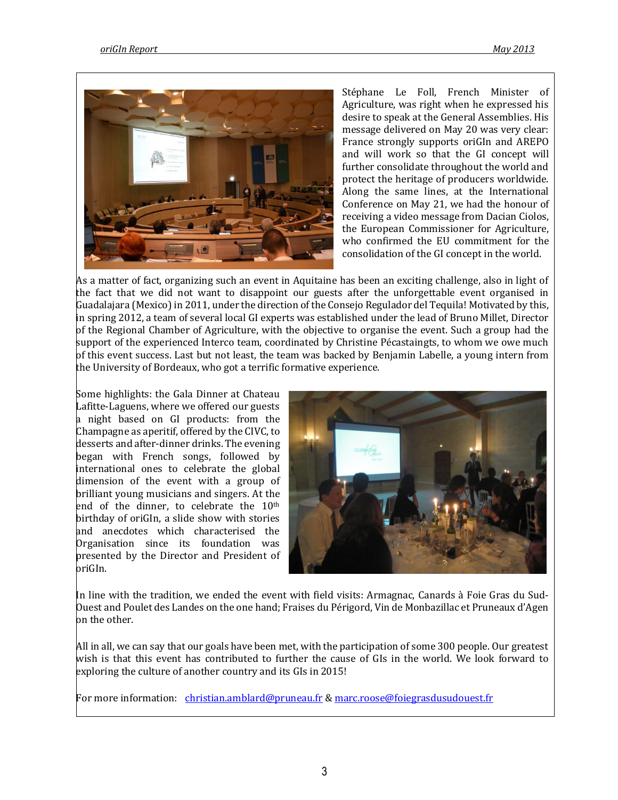

Stéphane Le Foll, French Minister of Agriculture, was right when he expressed his desire to speak at the General Assemblies. His message delivered on May 20 was very clear: France strongly supports oriGIn and AREPO and will work so that the GI concept will further consolidate throughout the world and protect the heritage of producers worldwide. Along the same lines, at the International Conference on May 21, we had the honour of receiving a video message from Dacian Ciolos, the European Commissioner for Agriculture, who confirmed the EU commitment for the consolidation of the GI concept in the world.

As a matter of fact, organizing such an event in Aquitaine has been an exciting challenge, also in light of the fact that we did not want to disappoint our guests after the unforgettable event organised in Guadalajara (Mexico) in 2011, under the direction of the Consejo Regulador del Tequila! Motivated by this, in spring 2012, a team of several local GI experts was established under the lead of Bruno Millet, Director of the Regional Chamber of Agriculture, with the objective to organise the event. Such a group had the support of the experienced Interco team, coordinated by Christine Pécastaingts, to whom we owe much of this event success. Last but not least, the team was backed by Benjamin Labelle, a young intern from the University of Bordeaux, who got a terrific formative experience.

Some highlights: the Gala Dinner at Chateau Lafitte-Laguens, where we offered our guests a night based on GI products: from the Champagne as aperitif, offered by the CIVC, to desserts and after-dinner drinks. The evening began with French songs, followed by international ones to celebrate the global dimension of the event with a group of brilliant young musicians and singers. At the end of the dinner, to celebrate the 10th birthday of oriGIn, a slide show with stories and anecdotes which characterised the Organisation since its foundation was presented by the Director and President of oriGIn.



In line with the tradition, we ended the event with field visits: Armagnac, Canards à Foie Gras du Sud-Ouest and Poulet des Landes on the one hand; Fraises du Périgord, Vin de Monbazillac et Pruneaux d'Agen on the other.

All in all, we can say that our goals have been met, with the participation of some 300 people. Our greatest wish is that this event has contributed to further the cause of GIs in the world. We look forward to exploring the culture of another country and its GIs in 2015!

For more information: [christian.amblard@pruneau.fr](mailto:christian.amblard@pruneau.fr) [& marc.roose@foiegrasdusudouest.fr](mailto:marc.roose@foiegrasdusudouest.fr)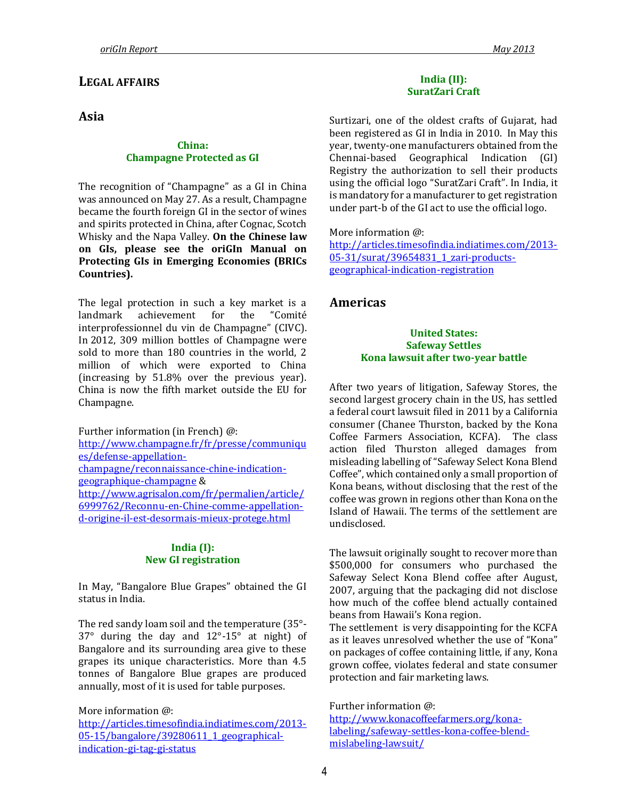# **LEGAL AFFAIRS**

# **Asia**

#### **China: Champagne Protected as GI**

The recognition of "Champagne" as a GI in China was announced on May 27. As a result, Champagne became the fourth foreign GI in the sector of wines and spirits protected in China, after Cognac, Scotch Whisky and the Napa Valley. **On the Chinese law on GIs, please see the oriGIn Manual on Protecting GIs in Emerging Economies (BRICs Countries).**

The legal protection in such a key market is a landmark achievement for the "Comité interprofessionnel du vin de Champagne" (CIVC). In 2012, 309 million bottles of Champagne were sold to more than 180 countries in the world, 2 million of which were exported to China (increasing by 51.8% over the previous year). China is now the fifth market outside the EU for Champagne.

Further information (in French) @: [http://www.champagne.fr/fr/presse/communiqu](http://www.champagne.fr/fr/presse/communiques/defense-appellation-champagne/reconnaissance-chine-indication-geographique-champagne) [es/defense-appellation](http://www.champagne.fr/fr/presse/communiques/defense-appellation-champagne/reconnaissance-chine-indication-geographique-champagne)[champagne/reconnaissance-chine-indication](http://www.champagne.fr/fr/presse/communiques/defense-appellation-champagne/reconnaissance-chine-indication-geographique-champagne)[geographique-champagne](http://www.champagne.fr/fr/presse/communiques/defense-appellation-champagne/reconnaissance-chine-indication-geographique-champagne) & [http://www.agrisalon.com/fr/permalien/article/](http://www.agrisalon.com/fr/permalien/article/6999762/Reconnu-en-Chine-comme-appellation-d-origine-il-est-desormais-mieux-protege.html) [6999762/Reconnu-en-Chine-comme-appellation](http://www.agrisalon.com/fr/permalien/article/6999762/Reconnu-en-Chine-comme-appellation-d-origine-il-est-desormais-mieux-protege.html)[d-origine-il-est-desormais-mieux-protege.html](http://www.agrisalon.com/fr/permalien/article/6999762/Reconnu-en-Chine-comme-appellation-d-origine-il-est-desormais-mieux-protege.html)

#### **India (I): New GI registration**

In May, "Bangalore Blue Grapes" obtained the GI status in India.

The red sandy loam soil and the temperature (35°- 37° during the day and 12°-15° at night) of Bangalore and its surrounding area give to these grapes its unique characteristics. More than 4.5 tonnes of Bangalore Blue grapes are produced annually, most of it is used for table purposes.

More information @:

[http://articles.timesofindia.indiatimes.com/2013-](http://articles.timesofindia.indiatimes.com/2013-05-15/bangalore/39280611_1_geographical-indication-gi-tag-gi-status) [05-15/bangalore/39280611\\_1\\_geographical](http://articles.timesofindia.indiatimes.com/2013-05-15/bangalore/39280611_1_geographical-indication-gi-tag-gi-status)[indication-gi-tag-gi-status](http://articles.timesofindia.indiatimes.com/2013-05-15/bangalore/39280611_1_geographical-indication-gi-tag-gi-status)

#### **India (II): SuratZari Craft**

Surtizari, one of the oldest crafts of Gujarat, had been registered as GI in India in 2010. In May this year, twenty-one manufacturers obtained from the Chennai-based Geographical Indication (GI) Registry the authorization to sell their products using the official logo "SuratZari Craft". In India, it is mandatory for a manufacturer to get registration under part-b of the GI act to use the official logo.

More information @:

[http://articles.timesofindia.indiatimes.com/2013-](http://articles.timesofindia.indiatimes.com/2013-05-31/surat/39654831_1_zari-products-geographical-indication-registration) [05-31/surat/39654831\\_1\\_zari-products](http://articles.timesofindia.indiatimes.com/2013-05-31/surat/39654831_1_zari-products-geographical-indication-registration)[geographical-indication-registration](http://articles.timesofindia.indiatimes.com/2013-05-31/surat/39654831_1_zari-products-geographical-indication-registration)

# **Americas**

#### **United States: Safeway Settles Kona lawsuit after two-year battle**

After two years of litigation, Safeway Stores, the second largest grocery chain in the US, has settled a federal court lawsuit filed in 2011 by a California consumer (Chanee Thurston, backed by the Kona Coffee Farmers Association, KCFA). The class action filed Thurston alleged damages from misleading labelling of "Safeway Select Kona Blend Coffee", which contained only a small proportion of Kona beans, without disclosing that the rest of the coffee was grown in regions other than Kona on the Island of Hawaii. The terms of the settlement are undisclosed.

The lawsuit originally sought to recover more than \$500,000 for consumers who purchased the Safeway Select Kona Blend coffee after August, 2007, arguing that the packaging did not disclose how much of the coffee blend actually contained beans from Hawaii's Kona region.

The settlement is very disappointing for the KCFA as it leaves unresolved whether the use of "Kona" on packages of coffee containing little, if any, Kona grown coffee, violates federal and state consumer protection and fair marketing laws.

Further information @:

[http://www.konacoffeefarmers.org/kona](http://www.konacoffeefarmers.org/kona-labeling/safeway-settles-kona-coffee-blend-mislabeling-lawsuit/)[labeling/safeway-settles-kona-coffee-blend](http://www.konacoffeefarmers.org/kona-labeling/safeway-settles-kona-coffee-blend-mislabeling-lawsuit/)[mislabeling-lawsuit/](http://www.konacoffeefarmers.org/kona-labeling/safeway-settles-kona-coffee-blend-mislabeling-lawsuit/)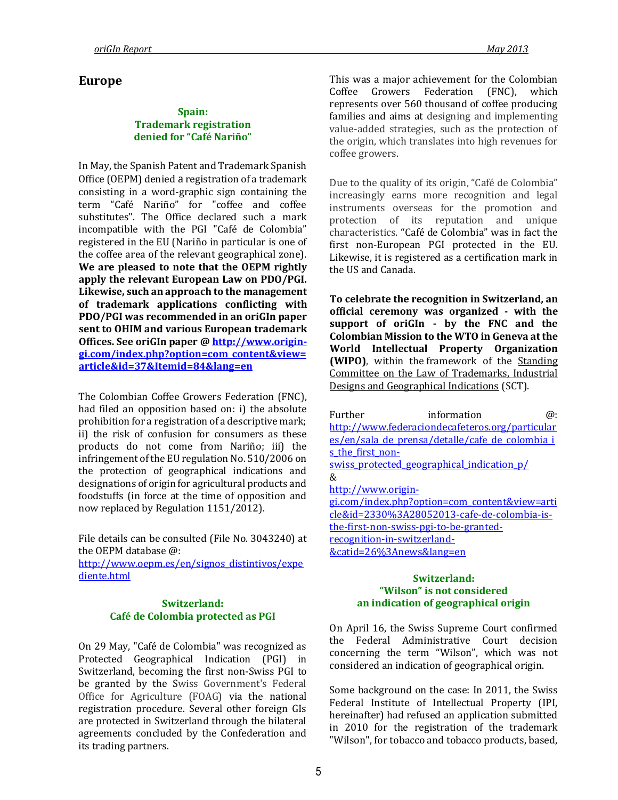# **Europe**

#### **Spain: Trademark registration denied for "Café Nariño"**

In May, the Spanish Patent and Trademark Spanish Office (OEPM) denied a registration of a trademark consisting in a word-graphic sign containing the term "Café Nariño" for "coffee and coffee substitutes". The Office declared such a mark incompatible with the PGI "Café de Colombia" registered in the EU (Nariño in particular is one of the coffee area of the relevant geographical zone). **We are pleased to note that the OEPM rightly apply the relevant European Law on PDO/PGI. Likewise, such an approach to the management of trademark applications conflicting with PDO/PGI was recommended in an oriGIn paper sent to OHIM and various European trademark Offices. See oriGIn paper @ [http://www.origin](http://www.origin-gi.com/index.php?option=com_content&view=article&id=37&Itemid=84&lang=en)[gi.com/index.php?option=com\\_content&view=](http://www.origin-gi.com/index.php?option=com_content&view=article&id=37&Itemid=84&lang=en) [article&id=37&Itemid=84&lang=en](http://www.origin-gi.com/index.php?option=com_content&view=article&id=37&Itemid=84&lang=en)**

The Colombian Coffee Growers Federation (FNC), had filed an opposition based on: i) the absolute prohibition for a registration of a descriptive mark; ii) the risk of confusion for consumers as these products do not come from Nariño; iii) the infringement of the EU regulation No. 510/2006 on the protection of geographical indications and designations of origin for agricultural products and foodstuffs (in force at the time of opposition and now replaced by Regulation 1151/2012).

File details can be consulted (File No. 3043240) at the OEPM database @: [http://www.oepm.es/en/signos\\_distintivos/expe](http://www.oepm.es/en/signos_distintivos/expediente.html) [diente.html](http://www.oepm.es/en/signos_distintivos/expediente.html)

#### **Switzerland: Café de Colombia protected as PGI**

On 29 May, "Café de Colombia" was recognized as Protected Geographical Indication (PGI) in Switzerland, becoming the first non-Swiss PGI to be granted by the Swiss Government's Federal Office for Agriculture (FOAG) via the national registration procedure. Several other foreign GIs are protected in Switzerland through the bilateral agreements concluded by the Confederation and its trading partners.

This was a major achievement for the Colombian Coffee Growers Federation (FNC), which represents over 560 thousand of coffee producing families and aims at designing and implementing value-added strategies, such as the protection of the origin, which translates into high revenues for coffee growers.

Due to the quality of its origin, "Café de Colombia" increasingly earns more recognition and legal instruments overseas for the promotion and protection of its reputation and unique characteristics. "Café de Colombia" was in fact the first non-European PGI protected in the EU. Likewise, it is registered as a certification mark in the US and Canada.

**To celebrate the recognition in Switzerland, an official ceremony was organized - with the support of oriGIn - by the FNC and the Colombian Mission to the WTO in Geneva at the World Intellectual Property Organization (WIPO)**, within the framework of the [Standing](http://www.wipo.int/trademarks/en/sct.html)  [Committee on the Law of Trademarks, Industrial](http://www.wipo.int/trademarks/en/sct.html)  [Designs and Geographical Indications](http://www.wipo.int/trademarks/en/sct.html) (SCT).

Further information  $\omega$ : [http://www.federaciondecafeteros.org/particular](http://www.federaciondecafeteros.org/particulares/en/sala_de_prensa/detalle/cafe_de_colombia_is_the_first_non-swiss_protected_geographical_indication_p/) es/en/sala de prensa/detalle/cafe\_de\_colombia i s the first non[swiss\\_protected\\_geographical\\_indication\\_p/](http://www.federaciondecafeteros.org/particulares/en/sala_de_prensa/detalle/cafe_de_colombia_is_the_first_non-swiss_protected_geographical_indication_p/) & [http://www.origin](http://www.origin-gi.com/index.php?option=com_content&view=article&id=2330%3A28052013-cafe-de-colombia-is-the-first-non-swiss-pgi-to-be-granted-recognition-in-switzerland-&catid=26%3Anews&lang=en)[gi.com/index.php?option=com\\_content&view=arti](http://www.origin-gi.com/index.php?option=com_content&view=article&id=2330%3A28052013-cafe-de-colombia-is-the-first-non-swiss-pgi-to-be-granted-recognition-in-switzerland-&catid=26%3Anews&lang=en) [cle&id=2330%3A28052013-cafe-de-colombia-is](http://www.origin-gi.com/index.php?option=com_content&view=article&id=2330%3A28052013-cafe-de-colombia-is-the-first-non-swiss-pgi-to-be-granted-recognition-in-switzerland-&catid=26%3Anews&lang=en)[the-first-non-swiss-pgi-to-be-granted](http://www.origin-gi.com/index.php?option=com_content&view=article&id=2330%3A28052013-cafe-de-colombia-is-the-first-non-swiss-pgi-to-be-granted-recognition-in-switzerland-&catid=26%3Anews&lang=en)[recognition-in-switzerland-](http://www.origin-gi.com/index.php?option=com_content&view=article&id=2330%3A28052013-cafe-de-colombia-is-the-first-non-swiss-pgi-to-be-granted-recognition-in-switzerland-&catid=26%3Anews&lang=en) [&catid=26%3Anews&lang=en](http://www.origin-gi.com/index.php?option=com_content&view=article&id=2330%3A28052013-cafe-de-colombia-is-the-first-non-swiss-pgi-to-be-granted-recognition-in-switzerland-&catid=26%3Anews&lang=en)

#### **Switzerland: "Wilson" is not considered an indication of geographical origin**

On April 16, the Swiss Supreme Court confirmed the Federal Administrative Court decision concerning the term "Wilson", which was not considered an indication of geographical origin.

Some background on the case: In 2011, the Swiss Federal Institute of Intellectual Property (IPI, hereinafter) had refused an application submitted in 2010 for the registration of the trademark "Wilson", for tobacco and tobacco products, based,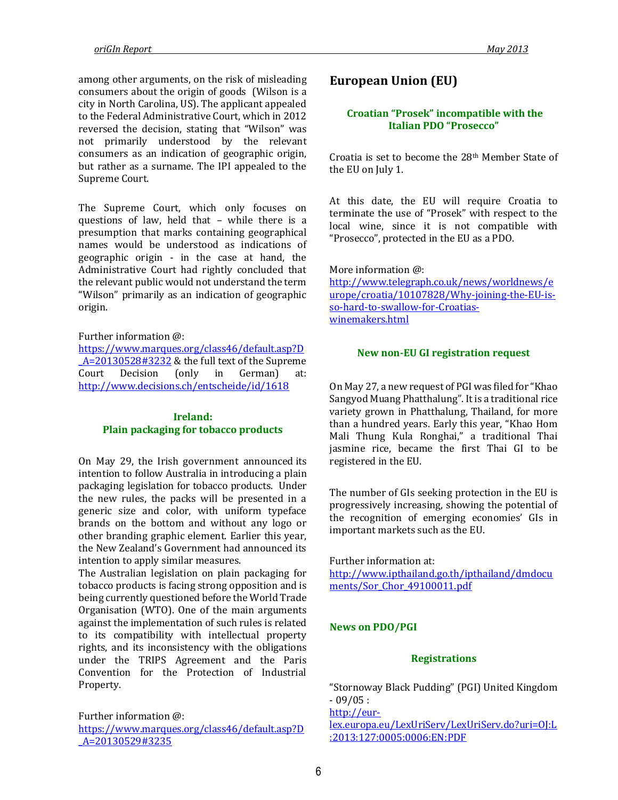among other arguments, on the risk of misleading consumers about the origin of goods (Wilson is a city in North Carolina, US). The applicant appealed to the Federal Administrative Court, which in 2012 reversed the decision, stating that "Wilson" was not primarily understood by the relevant consumers as an indication of geographic origin, but rather as a surname. The IPI appealed to the Supreme Court.

The Supreme Court, which only focuses on questions of law, held that – while there is a presumption that marks containing geographical names would be understood as indications of geographic origin - in the case at hand, the Administrative Court had rightly concluded that the relevant public would not understand the term "Wilson" primarily as an indication of geographic origin.

Further information @:

[https://www.marques.org/class46/default.asp?D](https://www.marques.org/class46/default.asp?D_A=20130528#3232) [\\_A=20130528#3232](https://www.marques.org/class46/default.asp?D_A=20130528#3232) & the full text of the Supreme Court Decision (only in German) at: <http://www.decisions.ch/entscheide/id/1618>

## **Ireland: Plain packaging for tobacco products**

On May 29, the Irish government [announced](http://www.dohc.ie/press/releases/2013/20130528.html) its intention to follow Australia in introducing a plain packaging legislation for tobacco products. Under the new rules, the packs will be presented in a generic size and color, with uniform typeface brands on the bottom and without any logo or other branding graphic element. Earlier this year, the New Zealand's Government had announced its intention to apply similar measures.

The Australian legislation on plain packaging for tobacco products is facing strong opposition and is being currently questioned before the World Trade Organisation (WTO). One of the main arguments against the implementation of such rules is related to its compatibility with intellectual property rights, and its inconsistency with the obligations under the TRIPS Agreement and the Paris Convention for the Protection of Industrial Property.

Further information @: [https://www.marques.org/class46/default.asp?D](https://www.marques.org/class46/default.asp?D_A=20130529#3235) [\\_A=20130529#3235](https://www.marques.org/class46/default.asp?D_A=20130529#3235)

# **European Union (EU)**

## **Croatian "Prosek" incompatible with the Italian PDO "Prosecco"**

Croatia is set to become the 28th Member State of the EU on July 1.

At this date, the EU will require Croatia to terminate the use of "Prosek" with respect to the local wine, since it is not compatible with "Prosecco", protected in the EU as a PDO.

More information @: [http://www.telegraph.co.uk/news/worldnews/e](http://www.telegraph.co.uk/news/worldnews/europe/croatia/10107828/Why-joining-the-EU-is-so-hard-to-swallow-for-Croatias-winemakers.html) [urope/croatia/10107828/Why-joining-the-EU-is](http://www.telegraph.co.uk/news/worldnews/europe/croatia/10107828/Why-joining-the-EU-is-so-hard-to-swallow-for-Croatias-winemakers.html)[so-hard-to-swallow-for-Croatias](http://www.telegraph.co.uk/news/worldnews/europe/croatia/10107828/Why-joining-the-EU-is-so-hard-to-swallow-for-Croatias-winemakers.html)[winemakers.html](http://www.telegraph.co.uk/news/worldnews/europe/croatia/10107828/Why-joining-the-EU-is-so-hard-to-swallow-for-Croatias-winemakers.html)

#### **New non-EU GI registration request**

On May 27, a new request of PGI was filed for "Khao Sangyod Muang Phatthalung". It is a traditional rice variety grown in Phatthalung, Thailand, for more than a hundred years. Early this year, "Khao Hom Mali Thung Kula Ronghai," a traditional Thai jasmine rice, became the first Thai GI to be registered in the EU.

The number of GIs seeking protection in the EU is progressively increasing, showing the potential of the recognition of emerging economies' GIs in important markets such as the EU.

Further information at: [http://www.ipthailand.go.th/ipthailand/dmdocu](http://www.ipthailand.go.th/ipthailand/dmdocuments/Sor_Chor_49100011.pdf) [ments/Sor\\_Chor\\_49100011.pdf](http://www.ipthailand.go.th/ipthailand/dmdocuments/Sor_Chor_49100011.pdf)

## **News on PDO/PGI**

#### **Registrations**

"Stornoway Black Pudding" (PGI) United Kingdom - 09/05 :

[http://eur-](http://eur-lex.europa.eu/LexUriServ/LexUriServ.do?uri=OJ:L:2013:127:0005:0006:EN:PDF)

[lex.europa.eu/LexUriServ/LexUriServ.do?uri=OJ:L](http://eur-lex.europa.eu/LexUriServ/LexUriServ.do?uri=OJ:L:2013:127:0005:0006:EN:PDF) [:2013:127:0005:0006:EN:PDF](http://eur-lex.europa.eu/LexUriServ/LexUriServ.do?uri=OJ:L:2013:127:0005:0006:EN:PDF)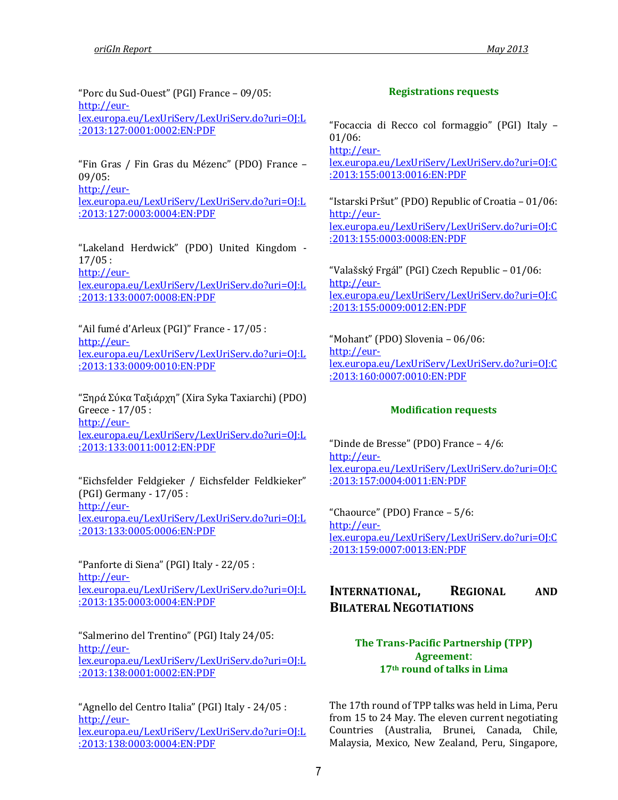"Porc du Sud-Ouest" (PGI) France – 09/05: [http://eur](http://eur-lex.europa.eu/LexUriServ/LexUriServ.do?uri=OJ:L:2013:127:0001:0002:EN:PDF)[lex.europa.eu/LexUriServ/LexUriServ.do?uri=OJ:L](http://eur-lex.europa.eu/LexUriServ/LexUriServ.do?uri=OJ:L:2013:127:0001:0002:EN:PDF) [:2013:127:0001:0002:EN:PDF](http://eur-lex.europa.eu/LexUriServ/LexUriServ.do?uri=OJ:L:2013:127:0001:0002:EN:PDF)

"Fin Gras / Fin Gras du Mézenc" (PDO) France – 09/05: [http://eur-](http://eur-lex.europa.eu/LexUriServ/LexUriServ.do?uri=OJ:L:2013:127:0003:0004:EN:PDF)

[lex.europa.eu/LexUriServ/LexUriServ.do?uri=OJ:L](http://eur-lex.europa.eu/LexUriServ/LexUriServ.do?uri=OJ:L:2013:127:0003:0004:EN:PDF) [:2013:127:0003:0004:EN:PDF](http://eur-lex.europa.eu/LexUriServ/LexUriServ.do?uri=OJ:L:2013:127:0003:0004:EN:PDF)

"Lakeland Herdwick" (PDO) United Kingdom - 17/05 : [http://eur](http://eur-lex.europa.eu/LexUriServ/LexUriServ.do?uri=OJ:L:2013:133:0007:0008:EN:PDF)[lex.europa.eu/LexUriServ/LexUriServ.do?uri=OJ:L](http://eur-lex.europa.eu/LexUriServ/LexUriServ.do?uri=OJ:L:2013:133:0007:0008:EN:PDF)

[:2013:133:0007:0008:EN:PDF](http://eur-lex.europa.eu/LexUriServ/LexUriServ.do?uri=OJ:L:2013:133:0007:0008:EN:PDF)

"Ail fumé d'Arleux (PGI)" France - 17/05 : [http://eur](http://eur-lex.europa.eu/LexUriServ/LexUriServ.do?uri=OJ:L:2013:133:0009:0010:EN:PDF)[lex.europa.eu/LexUriServ/LexUriServ.do?uri=OJ:L](http://eur-lex.europa.eu/LexUriServ/LexUriServ.do?uri=OJ:L:2013:133:0009:0010:EN:PDF) [:2013:133:0009:0010:EN:PDF](http://eur-lex.europa.eu/LexUriServ/LexUriServ.do?uri=OJ:L:2013:133:0009:0010:EN:PDF)

"Ξηρά Σύκα Ταξιάρχη" (Xira Syka Taxiarchi) (PDO) Greece - 17/05 : [http://eur](http://eur-lex.europa.eu/LexUriServ/LexUriServ.do?uri=OJ:L:2013:133:0011:0012:EN:PDF)[lex.europa.eu/LexUriServ/LexUriServ.do?uri=OJ:L](http://eur-lex.europa.eu/LexUriServ/LexUriServ.do?uri=OJ:L:2013:133:0011:0012:EN:PDF) [:2013:133:0011:0012:EN:PDF](http://eur-lex.europa.eu/LexUriServ/LexUriServ.do?uri=OJ:L:2013:133:0011:0012:EN:PDF)

"Eichsfelder Feldgieker / Eichsfelder Feldkieker" (PGI) Germany - 17/05 : [http://eur](http://eur-lex.europa.eu/LexUriServ/LexUriServ.do?uri=OJ:L:2013:133:0005:0006:EN:PDF)[lex.europa.eu/LexUriServ/LexUriServ.do?uri=OJ:L](http://eur-lex.europa.eu/LexUriServ/LexUriServ.do?uri=OJ:L:2013:133:0005:0006:EN:PDF) [:2013:133:0005:0006:EN:PDF](http://eur-lex.europa.eu/LexUriServ/LexUriServ.do?uri=OJ:L:2013:133:0005:0006:EN:PDF)

"Panforte di Siena" (PGI) Italy - 22/05 : [http://eur](http://eur-lex.europa.eu/LexUriServ/LexUriServ.do?uri=OJ:L:2013:135:0003:0004:EN:PDF)[lex.europa.eu/LexUriServ/LexUriServ.do?uri=OJ:L](http://eur-lex.europa.eu/LexUriServ/LexUriServ.do?uri=OJ:L:2013:135:0003:0004:EN:PDF) [:2013:135:0003:0004:EN:PDF](http://eur-lex.europa.eu/LexUriServ/LexUriServ.do?uri=OJ:L:2013:135:0003:0004:EN:PDF)

"Salmerino del Trentino" (PGI) Italy 24/05: [http://eur](http://eur-lex.europa.eu/LexUriServ/LexUriServ.do?uri=OJ:L:2013:138:0001:0002:EN:PDF)[lex.europa.eu/LexUriServ/LexUriServ.do?uri=OJ:L](http://eur-lex.europa.eu/LexUriServ/LexUriServ.do?uri=OJ:L:2013:138:0001:0002:EN:PDF) [:2013:138:0001:0002:EN:PDF](http://eur-lex.europa.eu/LexUriServ/LexUriServ.do?uri=OJ:L:2013:138:0001:0002:EN:PDF)

"Agnello del Centro Italia" (PGI) Italy - 24/05 : [http://eur](http://eur-lex.europa.eu/LexUriServ/LexUriServ.do?uri=OJ:L:2013:138:0003:0004:EN:PDF)[lex.europa.eu/LexUriServ/LexUriServ.do?uri=OJ:L](http://eur-lex.europa.eu/LexUriServ/LexUriServ.do?uri=OJ:L:2013:138:0003:0004:EN:PDF) [:2013:138:0003:0004:EN:PDF](http://eur-lex.europa.eu/LexUriServ/LexUriServ.do?uri=OJ:L:2013:138:0003:0004:EN:PDF)

# **Registrations requests**

"Focaccia di Recco col formaggio" (PGI) Italy – 01/06:

[http://eur-](http://eur-lex.europa.eu/LexUriServ/LexUriServ.do?uri=OJ:C:2013:155:0013:0016:EN:PDF)

[lex.europa.eu/LexUriServ/LexUriServ.do?uri=OJ:C](http://eur-lex.europa.eu/LexUriServ/LexUriServ.do?uri=OJ:C:2013:155:0013:0016:EN:PDF) [:2013:155:0013:0016:EN:PDF](http://eur-lex.europa.eu/LexUriServ/LexUriServ.do?uri=OJ:C:2013:155:0013:0016:EN:PDF)

"Istarski Pršut" (PDO) Republic of Croatia – 01/06: [http://eur](http://eur-lex.europa.eu/LexUriServ/LexUriServ.do?uri=OJ:C:2013:155:0003:0008:EN:PDF)[lex.europa.eu/LexUriServ/LexUriServ.do?uri=OJ:C](http://eur-lex.europa.eu/LexUriServ/LexUriServ.do?uri=OJ:C:2013:155:0003:0008:EN:PDF) [:2013:155:0003:0008:EN:PDF](http://eur-lex.europa.eu/LexUriServ/LexUriServ.do?uri=OJ:C:2013:155:0003:0008:EN:PDF)

"Valašský Frgál" (PGI) Czech Republic – 01/06: [http://eur](http://eur-lex.europa.eu/LexUriServ/LexUriServ.do?uri=OJ:C:2013:155:0009:0012:EN:PDF)[lex.europa.eu/LexUriServ/LexUriServ.do?uri=OJ:C](http://eur-lex.europa.eu/LexUriServ/LexUriServ.do?uri=OJ:C:2013:155:0009:0012:EN:PDF) [:2013:155:0009:0012:EN:PDF](http://eur-lex.europa.eu/LexUriServ/LexUriServ.do?uri=OJ:C:2013:155:0009:0012:EN:PDF)

"Mohant" (PDO) Slovenia – 06/06: [http://eur](http://eur-lex.europa.eu/LexUriServ/LexUriServ.do?uri=OJ:C:2013:160:0007:0010:EN:PDF)[lex.europa.eu/LexUriServ/LexUriServ.do?uri=OJ:C](http://eur-lex.europa.eu/LexUriServ/LexUriServ.do?uri=OJ:C:2013:160:0007:0010:EN:PDF) [:2013:160:0007:0010:EN:PDF](http://eur-lex.europa.eu/LexUriServ/LexUriServ.do?uri=OJ:C:2013:160:0007:0010:EN:PDF)

# **Modification requests**

"Dinde de Bresse" (PDO) France – 4/6: [http://eur](http://eur-lex.europa.eu/LexUriServ/LexUriServ.do?uri=OJ:C:2013:157:0004:0011:EN:PDF)[lex.europa.eu/LexUriServ/LexUriServ.do?uri=OJ:C](http://eur-lex.europa.eu/LexUriServ/LexUriServ.do?uri=OJ:C:2013:157:0004:0011:EN:PDF) [:2013:157:0004:0011:EN:PDF](http://eur-lex.europa.eu/LexUriServ/LexUriServ.do?uri=OJ:C:2013:157:0004:0011:EN:PDF)

"Chaource" (PDO) France – 5/6: [http://eur](http://eur-lex.europa.eu/LexUriServ/LexUriServ.do?uri=OJ:C:2013:159:0007:0013:EN:PDF)[lex.europa.eu/LexUriServ/LexUriServ.do?uri=OJ:C](http://eur-lex.europa.eu/LexUriServ/LexUriServ.do?uri=OJ:C:2013:159:0007:0013:EN:PDF) [:2013:159:0007:0013:EN:PDF](http://eur-lex.europa.eu/LexUriServ/LexUriServ.do?uri=OJ:C:2013:159:0007:0013:EN:PDF)

# **INTERNATIONAL, REGIONAL AND BILATERAL NEGOTIATIONS**

# **The Trans-Pacific Partnership (TPP) Agreement**: **17th round of talks in Lima**

The 17th round of TPP talks was held in Lima, Peru from 15 to 24 May. The eleven current negotiating Countries (Australia, Brunei, Canada, Chile, Malaysia, Mexico, New Zealand, Peru, Singapore,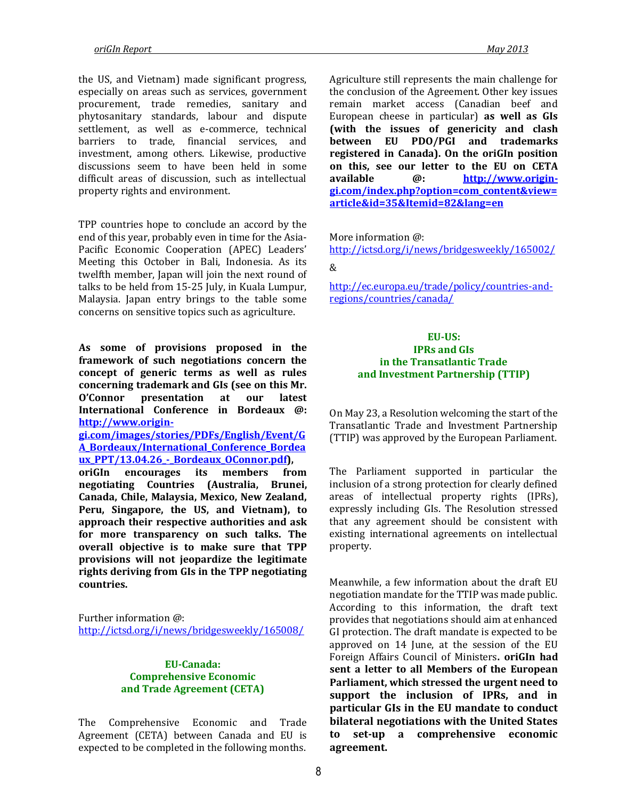the US, and Vietnam) made significant progress, especially on areas such as services, government procurement, trade remedies, sanitary and phytosanitary standards, labour and dispute settlement, as well as e-commerce, technical barriers to trade, financial services, and investment, among others. Likewise, productive discussions seem to have been held in some difficult areas of discussion, such as intellectual property rights and environment.

TPP countries hope to conclude an accord by the end of this year, probably even in time for the Asia-Pacific Economic Cooperation (APEC) Leaders' Meeting this October in Bali, Indonesia. As its twelfth member, Japan will join the next round of talks to be held from 15-25 July, in Kuala Lumpur, Malaysia. Japan entry brings to the table some concerns on sensitive topics such as agriculture.

**As some of provisions proposed in the framework of such negotiations concern the concept of generic terms as well as rules concerning trademark and GIs (see on this Mr. O'Connor presentation at our latest International Conference in Bordeaux @: [http://www.origin-](http://www.origin-gi.com/images/stories/PDFs/English/Event/GA_Bordeaux/International_Conference_Bordeaux_PPT/13.04.26_-_Bordeaux_OConnor.pdf)**

**[gi.com/images/stories/PDFs/English/Event/G](http://www.origin-gi.com/images/stories/PDFs/English/Event/GA_Bordeaux/International_Conference_Bordeaux_PPT/13.04.26_-_Bordeaux_OConnor.pdf) [A\\_Bordeaux/International\\_Conference\\_Bordea](http://www.origin-gi.com/images/stories/PDFs/English/Event/GA_Bordeaux/International_Conference_Bordeaux_PPT/13.04.26_-_Bordeaux_OConnor.pdf) [ux\\_PPT/13.04.26\\_-\\_Bordeaux\\_OConnor.pdf\)](http://www.origin-gi.com/images/stories/PDFs/English/Event/GA_Bordeaux/International_Conference_Bordeaux_PPT/13.04.26_-_Bordeaux_OConnor.pdf),** 

**oriGIn encourages its members from negotiating Countries (Australia, Brunei, Canada, Chile, Malaysia, Mexico, New Zealand, Peru, Singapore, the US, and Vietnam), to approach their respective authorities and ask for more transparency on such talks. The overall objective is to make sure that TPP provisions will not jeopardize the legitimate rights deriving from GIs in the TPP negotiating countries.**

Further information @: <http://ictsd.org/i/news/bridgesweekly/165008/>

#### **EU-Canada: Comprehensive Economic and Trade Agreement (CETA)**

The Comprehensive Economic and Trade Agreement (CETA) between Canada and EU is expected to be completed in the following months.

Agriculture still represents the main challenge for the conclusion of the Agreement. Other key issues remain market access (Canadian beef and European cheese in particular) **as well as GIs (with the issues of genericity and clash between EU PDO/PGI and trademarks registered in Canada). On the oriGIn position on this, see our letter to the EU on CETA available @: [http://www.origin-](http://www.origin-gi.com/index.php?option=com_content&view=article&id=35&Itemid=82&lang=en)**

**[gi.com/index.php?option=com\\_content&view=](http://www.origin-gi.com/index.php?option=com_content&view=article&id=35&Itemid=82&lang=en) [article&id=35&Itemid=82&lang=en](http://www.origin-gi.com/index.php?option=com_content&view=article&id=35&Itemid=82&lang=en)**

More information @:

<http://ictsd.org/i/news/bridgesweekly/165002/> &

[http://ec.europa.eu/trade/policy/countries-and](http://ec.europa.eu/trade/policy/countries-and-regions/countries/canada/)[regions/countries/canada/](http://ec.europa.eu/trade/policy/countries-and-regions/countries/canada/)

#### **EU-US: IPRs and GIs in the Transatlantic Trade and Investment Partnership (TTIP)**

On May 23, a Resolution welcoming the start of the Transatlantic Trade and Investment Partnership (TTIP) was approved by the European Parliament.

The Parliament supported in particular the inclusion of a strong protection for clearly defined areas of intellectual property rights (IPRs), expressly including GIs. The Resolution stressed that any agreement should be consistent with existing international agreements on intellectual property.

Meanwhile, a few information about the [draft EU](https://netzpolitik.org/wp-upload/DS1353_13_REV1_Annex.doc)  [negotiation mandate](https://netzpolitik.org/wp-upload/DS1353_13_REV1_Annex.doc) for the TTIP was made public. According to this information, the draft text provides that negotiations should aim at enhanced GI protection. The draft mandate is expected to be approved on 14 June, at the session of the EU Foreign Affairs Council of Ministers**. oriGIn had sent a letter to all Members of the European Parliament, which stressed the urgent need to support the inclusion of IPRs, and in particular GIs in the EU mandate to conduct bilateral negotiations with the United States to set-up a comprehensive economic agreement.**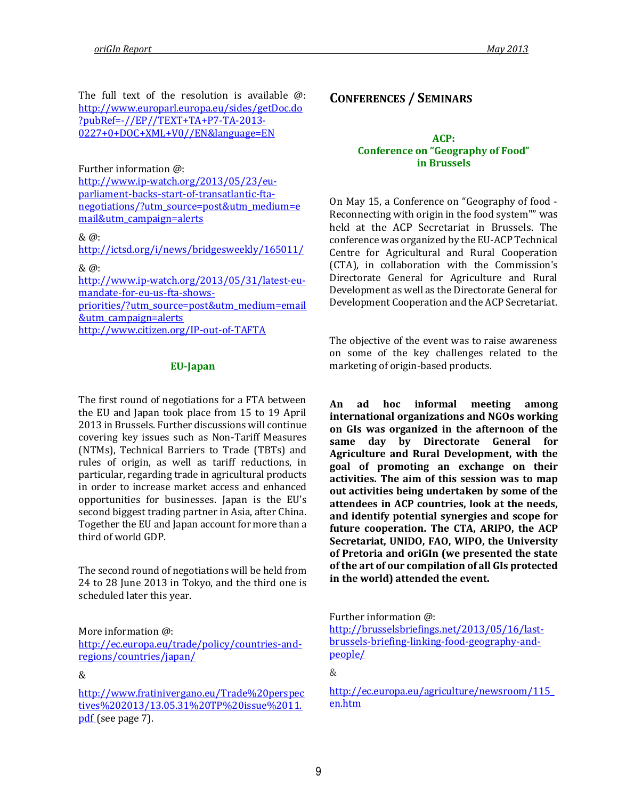The full text of the resolution is available @: [http://www.europarl.europa.eu/sides/getDoc.do](http://www.europarl.europa.eu/sides/getDoc.do?pubRef=-//EP//TEXT+TA+P7-TA-2013-0227+0+DOC+XML+V0//EN&language=EN) [?pubRef=-//EP//TEXT+TA+P7-TA-2013-](http://www.europarl.europa.eu/sides/getDoc.do?pubRef=-//EP//TEXT+TA+P7-TA-2013-0227+0+DOC+XML+V0//EN&language=EN) [0227+0+DOC+XML+V0//EN&language=EN](http://www.europarl.europa.eu/sides/getDoc.do?pubRef=-//EP//TEXT+TA+P7-TA-2013-0227+0+DOC+XML+V0//EN&language=EN)

Further information @:

[http://www.ip-watch.org/2013/05/23/eu](http://www.ip-watch.org/2013/05/23/eu-parliament-backs-start-of-transatlantic-fta-negotiations/?utm_source=post&utm_medium=email&utm_campaign=alerts)[parliament-backs-start-of-transatlantic-fta](http://www.ip-watch.org/2013/05/23/eu-parliament-backs-start-of-transatlantic-fta-negotiations/?utm_source=post&utm_medium=email&utm_campaign=alerts)[negotiations/?utm\\_source=post&utm\\_medium=e](http://www.ip-watch.org/2013/05/23/eu-parliament-backs-start-of-transatlantic-fta-negotiations/?utm_source=post&utm_medium=email&utm_campaign=alerts) [mail&utm\\_campaign=alerts](http://www.ip-watch.org/2013/05/23/eu-parliament-backs-start-of-transatlantic-fta-negotiations/?utm_source=post&utm_medium=email&utm_campaign=alerts)

#### & @:

<http://ictsd.org/i/news/bridgesweekly/165011/>

& @:

[http://www.ip-watch.org/2013/05/31/latest-eu](http://www.ip-watch.org/2013/05/31/latest-eu-mandate-for-eu-us-fta-shows-priorities/?utm_source=post&utm_medium=email&utm_campaign=alerts)[mandate-for-eu-us-fta-shows](http://www.ip-watch.org/2013/05/31/latest-eu-mandate-for-eu-us-fta-shows-priorities/?utm_source=post&utm_medium=email&utm_campaign=alerts)[priorities/?utm\\_source=post&utm\\_medium=email](http://www.ip-watch.org/2013/05/31/latest-eu-mandate-for-eu-us-fta-shows-priorities/?utm_source=post&utm_medium=email&utm_campaign=alerts) [&utm\\_campaign=alerts](http://www.ip-watch.org/2013/05/31/latest-eu-mandate-for-eu-us-fta-shows-priorities/?utm_source=post&utm_medium=email&utm_campaign=alerts) <http://www.citizen.org/IP-out-of-TAFTA>

#### **EU-Japan**

The first round of negotiations for a FTA between the EU and Japan took place from 15 to 19 April 2013 in Brussels. Further discussions will continue covering key issues such as Non-Tariff Measures (NTMs), Technical Barriers to Trade (TBTs) and rules of origin, as well as tariff reductions, in particular, regarding trade in agricultural products in order to increase market access and enhanced opportunities for businesses. Japan is the EU's second biggest trading partner in Asia, after China. Together the EU and Japan account for more than a third of world GDP.

The second round of negotiations will be held from 24 to 28 June 2013 in Tokyo, and the third one is scheduled later this year.

More information @: [http://ec.europa.eu/trade/policy/countries-and](http://ec.europa.eu/trade/policy/countries-and-regions/countries/japan/)[regions/countries/japan/](http://ec.europa.eu/trade/policy/countries-and-regions/countries/japan/)

#### &

[http://www.fratinivergano.eu/Trade%20perspec](http://www.fratinivergano.eu/Trade%20perspectives%202013/13.05.31%20TP%20issue%2011.pdf) [tives%202013/13.05.31%20TP%20issue%2011.](http://www.fratinivergano.eu/Trade%20perspectives%202013/13.05.31%20TP%20issue%2011.pdf) [pdf](http://www.fratinivergano.eu/Trade%20perspectives%202013/13.05.31%20TP%20issue%2011.pdf) (see page 7).

## **CONFERENCES / SEMINARS**

#### **ACP: Conference on "Geography of Food" in Brussels**

On May 15, a Conference on "Geography of food - Reconnecting with origin in the food system"" was held at the ACP Secretariat in Brussels. The conference was organized by the EU-ACP Technical Centre for Agricultural and Rural Cooperation (CTA), in collaboration with the Commission's Directorate General for Agriculture and Rural Development as well as the Directorate General for Development Cooperation and the ACP Secretariat.

The objective of the event was to raise awareness on some of the key challenges related to the marketing of origin-based products.

**An ad hoc informal meeting among international organizations and NGOs working on GIs was organized in the afternoon of the same day by Directorate General for Agriculture and Rural Development, with the goal of promoting an exchange on their activities. The aim of this session was to map out activities being undertaken by some of the attendees in ACP countries, look at the needs, and identify potential synergies and scope for future cooperation. The CTA, ARIPO, the ACP Secretariat, UNIDO, FAO, WIPO, the University of Pretoria and oriGIn (we presented the state of the art of our compilation of all GIs protected in the world) attended the event.** 

Further information @:

[http://brusselsbriefings.net/2013/05/16/last](http://brusselsbriefings.net/2013/05/16/last-brussels-briefing-linking-food-geography-and-people/)[brussels-briefing-linking-food-geography-and](http://brusselsbriefings.net/2013/05/16/last-brussels-briefing-linking-food-geography-and-people/)[people/](http://brusselsbriefings.net/2013/05/16/last-brussels-briefing-linking-food-geography-and-people/)

&

[http://ec.europa.eu/agriculture/newsroom/115\\_](http://ec.europa.eu/agriculture/newsroom/115_en.htm) [en.htm](http://ec.europa.eu/agriculture/newsroom/115_en.htm)